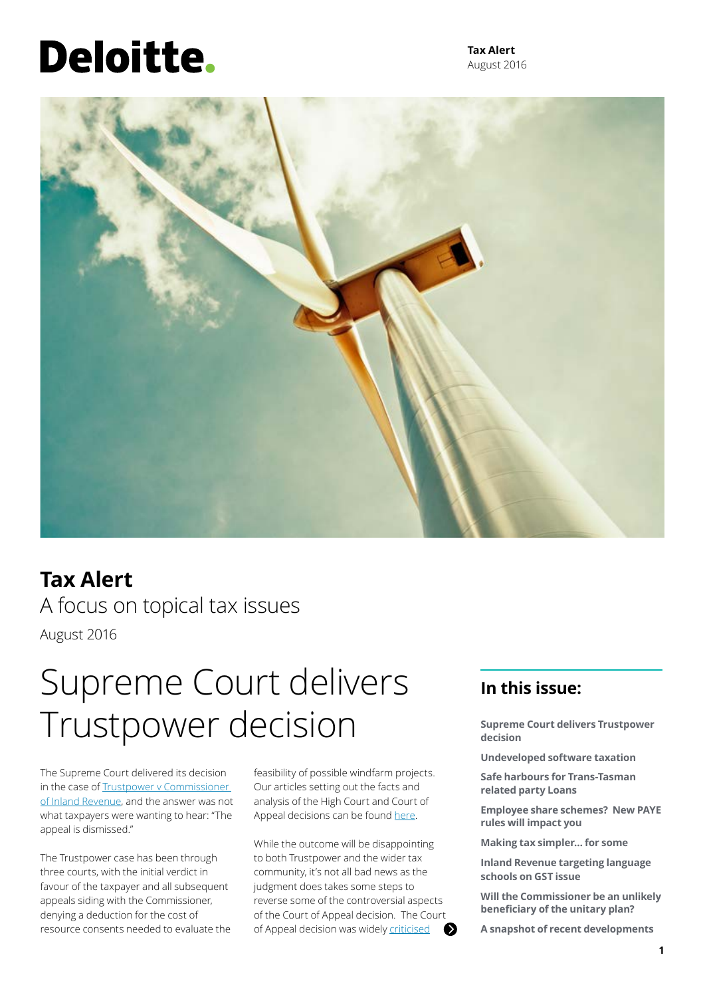# Deloitte.

**Tax Alert** August 2016



### **Tax Alert** A focus on topical tax issues August 2016

## Supreme Court delivers Trustpower decision

The Supreme Court delivered its decision in the case of Trustpower v Commissioner [of Inland Revenue](https://www.courtsofnz.govt.nz/cases/trustpower-limited-v-commissioner-of-inland-revenue-1/at_download/fileDecision), and the answer was not what taxpayers were wanting to hear: "The appeal is dismissed."

The Trustpower case has been through three courts, with the initial verdict in favour of the taxpayer and all subsequent appeals siding with the Commissioner, denying a deduction for the cost of resource consents needed to evaluate the feasibility of possible windfarm projects. Our articles setting out the facts and analysis of the High Court and Court of Appeal decisions can be found [here.](http://taxathand.com/article/1873/New-Zealand/2015/Trustpower-Ltd-v-CIR-The-first-capital-vs-revenue-case-to-be-heard-by-NZSC)

While the outcome will be disappointing to both Trustpower and the wider tax community, it's not all bad news as the judgment does takes some steps to reverse some of the controversial aspects of the Court of Appeal decision. The Court of Appeal decision was widely [criticised](http://taxathand.com/article/1852/New-Zealand/2015/Trustpower-Ltd-v-CIR-The-first-capital-vs-revenue-case-to-be-heard-by-NZSC)

### **In this issue:**

**Supreme Court delivers Trustpower decision**

**Undeveloped software taxation**

**Safe harbours for Trans-Tasman related party Loans**

**Employee share schemes? New PAYE rules will impact you**

**Making tax simpler… for some**

**Inland Revenue targeting language schools on GST issue**

**Will the Commissioner be an unlikely beneficiary of the unitary plan?**

**A snapshot of recent developments**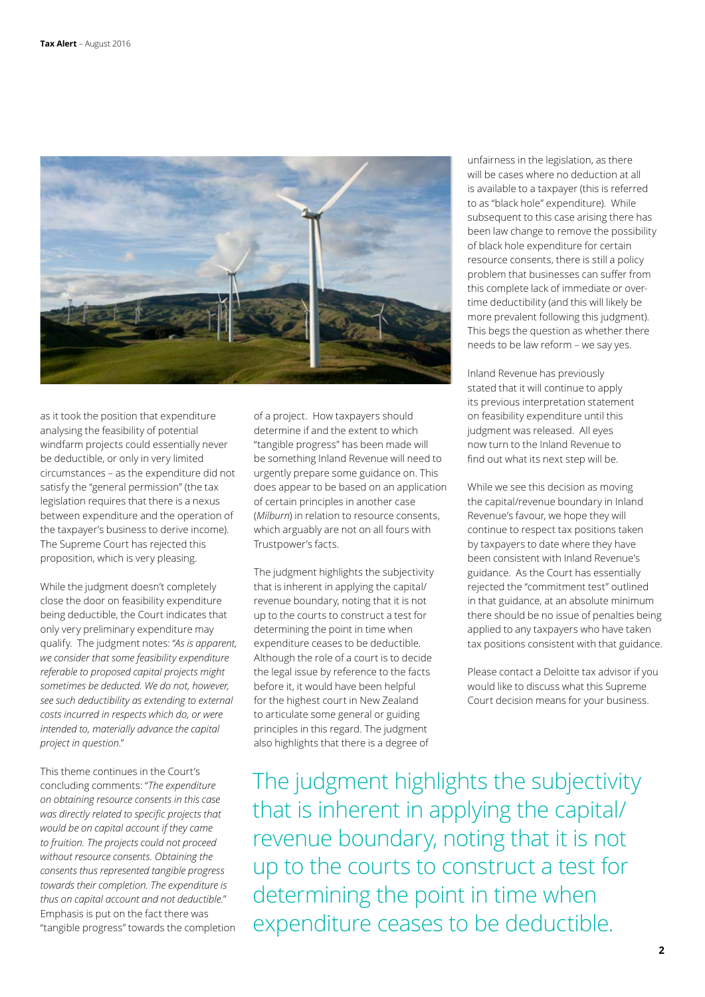

as it took the position that expenditure analysing the feasibility of potential windfarm projects could essentially never be deductible, or only in very limited circumstances – as the expenditure did not satisfy the "general permission" (the tax legislation requires that there is a nexus between expenditure and the operation of the taxpayer's business to derive income). The Supreme Court has rejected this proposition, which is very pleasing.

While the judgment doesn't completely close the door on feasibility expenditure being deductible, the Court indicates that only very preliminary expenditure may qualify. The judgment notes: "*As is apparent, we consider that some feasibility expenditure referable to proposed capital projects might sometimes be deducted. We do not, however, see such deductibility as extending to external costs incurred in respects which do, or were intended to, materially advance the capital project in question*."

This theme continues in the Court's concluding comments: "*The expenditure on obtaining resource consents in this case was directly related to specific projects that would be on capital account if they came to fruition. The projects could not proceed without resource consents. Obtaining the consents thus represented tangible progress towards their completion. The expenditure is thus on capital account and not deductible.*" Emphasis is put on the fact there was "tangible progress" towards the completion of a project. How taxpayers should determine if and the extent to which "tangible progress" has been made will be something Inland Revenue will need to urgently prepare some guidance on. This does appear to be based on an application of certain principles in another case (*Milburn*) in relation to resource consents, which arguably are not on all fours with Trustpower's facts.

The judgment highlights the subjectivity that is inherent in applying the capital/ revenue boundary, noting that it is not up to the courts to construct a test for determining the point in time when expenditure ceases to be deductible. Although the role of a court is to decide the legal issue by reference to the facts before it, it would have been helpful for the highest court in New Zealand to articulate some general or guiding principles in this regard. The judgment also highlights that there is a degree of

unfairness in the legislation, as there will be cases where no deduction at all is available to a taxpayer (this is referred to as "black hole" expenditure). While subsequent to this case arising there has been law change to remove the possibility of black hole expenditure for certain resource consents, there is still a policy problem that businesses can suffer from this complete lack of immediate or overtime deductibility (and this will likely be more prevalent following this judgment). This begs the question as whether there needs to be law reform – we say yes.

Inland Revenue has previously stated that it will continue to apply its previous interpretation statement on feasibility expenditure until this judgment was released. All eyes now turn to the Inland Revenue to find out what its next step will be.

While we see this decision as moving the capital/revenue boundary in Inland Revenue's favour, we hope they will continue to respect tax positions taken by taxpayers to date where they have been consistent with Inland Revenue's guidance. As the Court has essentially rejected the "commitment test" outlined in that guidance, at an absolute minimum there should be no issue of penalties being applied to any taxpayers who have taken tax positions consistent with that guidance.

Please contact a Deloitte tax advisor if you would like to discuss what this Supreme Court decision means for your business.

The judgment highlights the subjectivity that is inherent in applying the capital/ revenue boundary, noting that it is not up to the courts to construct a test for determining the point in time when expenditure ceases to be deductible.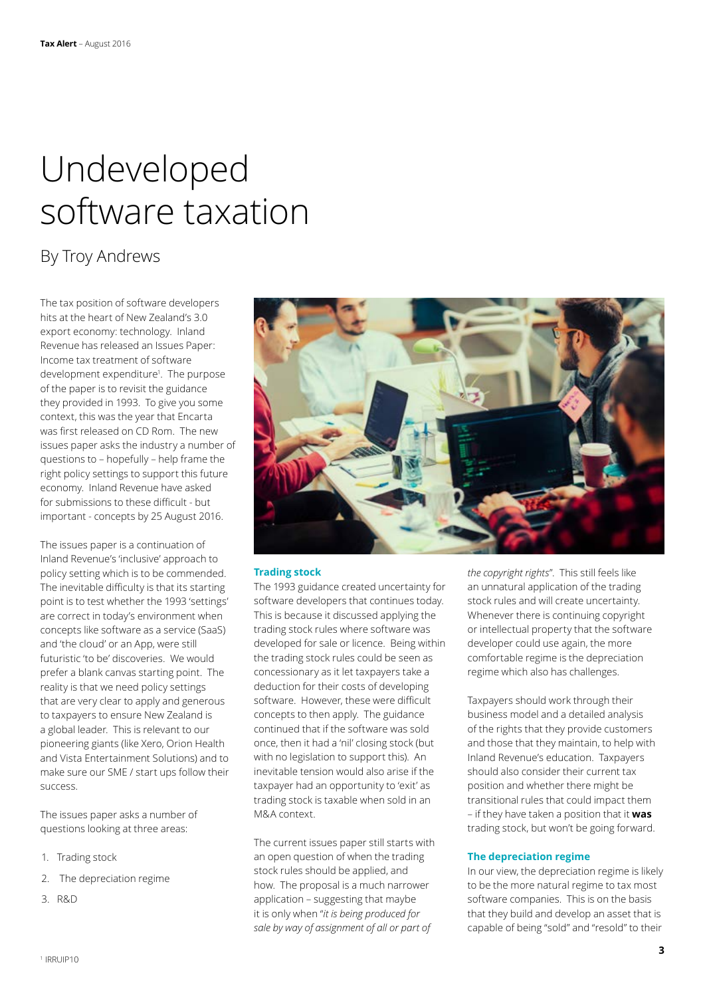## <span id="page-2-0"></span>Undeveloped software taxation

### By Troy Andrews

The tax position of software developers hits at the heart of New Zealand's 3.0 export economy: technology. Inland Revenue has released an Issues Paper: Income tax treatment of software development expenditure1 . The purpose of the paper is to revisit the guidance they provided in 1993. To give you some context, this was the year that Encarta was first released on CD Rom. The new issues paper asks the industry a number of questions to – hopefully – help frame the right policy settings to support this future economy. Inland Revenue have asked for submissions to these difficult - but important - concepts by 25 August 2016.

The issues paper is a continuation of Inland Revenue's 'inclusive' approach to policy setting which is to be commended. The inevitable difficulty is that its starting point is to test whether the 1993 'settings' are correct in today's environment when concepts like software as a service (SaaS) and 'the cloud' or an App, were still futuristic 'to be' discoveries. We would prefer a blank canvas starting point. The reality is that we need policy settings that are very clear to apply and generous to taxpayers to ensure New Zealand is a global leader. This is relevant to our pioneering giants (like Xero, Orion Health and Vista Entertainment Solutions) and to make sure our SME / start ups follow their success.

The issues paper asks a number of questions looking at three areas:

- 1. Trading stock
- 2. The depreciation regime
- 3. R&D



#### **Trading stock**

The 1993 guidance created uncertainty for software developers that continues today. This is because it discussed applying the trading stock rules where software was developed for sale or licence. Being within the trading stock rules could be seen as concessionary as it let taxpayers take a deduction for their costs of developing software. However, these were difficult concepts to then apply. The guidance continued that if the software was sold once, then it had a 'nil' closing stock (but with no legislation to support this). An inevitable tension would also arise if the taxpayer had an opportunity to 'exit' as trading stock is taxable when sold in an M&A context.

The current issues paper still starts with an open question of when the trading stock rules should be applied, and how. The proposal is a much narrower application – suggesting that maybe it is only when "*it is being produced for sale by way of assignment of all or part of* 

*the copyright rights*". This still feels like an unnatural application of the trading stock rules and will create uncertainty. Whenever there is continuing copyright or intellectual property that the software developer could use again, the more comfortable regime is the depreciation regime which also has challenges.

Taxpayers should work through their business model and a detailed analysis of the rights that they provide customers and those that they maintain, to help with Inland Revenue's education. Taxpayers should also consider their current tax position and whether there might be transitional rules that could impact them – if they have taken a position that it **was** trading stock, but won't be going forward.

#### **The depreciation regime**

In our view, the depreciation regime is likely to be the more natural regime to tax most software companies. This is on the basis that they build and develop an asset that is capable of being "sold" and "resold" to their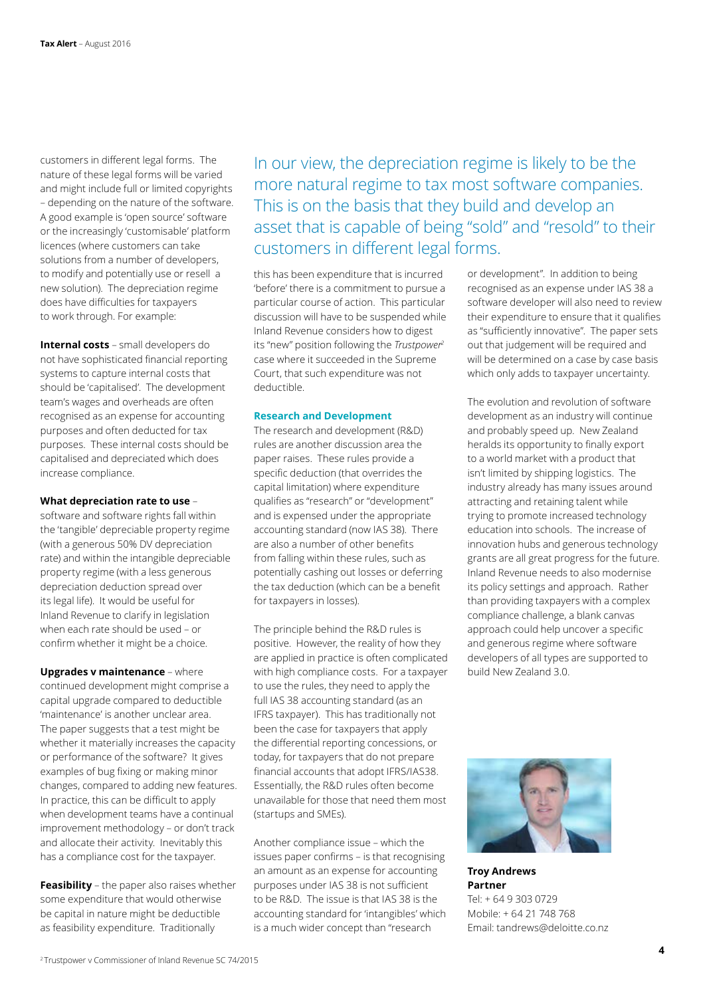customers in different legal forms. The nature of these legal forms will be varied and might include full or limited copyrights – depending on the nature of the software. A good example is 'open source' software or the increasingly 'customisable' platform licences (where customers can take solutions from a number of developers, to modify and potentially use or resell a new solution). The depreciation regime does have difficulties for taxpayers to work through. For example:

**Internal costs** – small developers do not have sophisticated financial reporting systems to capture internal costs that should be 'capitalised'. The development team's wages and overheads are often recognised as an expense for accounting purposes and often deducted for tax purposes. These internal costs should be capitalised and depreciated which does increase compliance.

#### **What depreciation rate to use** –

software and software rights fall within the 'tangible' depreciable property regime (with a generous 50% DV depreciation rate) and within the intangible depreciable property regime (with a less generous depreciation deduction spread over its legal life). It would be useful for Inland Revenue to clarify in legislation when each rate should be used – or confirm whether it might be a choice.

**Upgrades v maintenance** – where continued development might comprise a capital upgrade compared to deductible 'maintenance' is another unclear area. The paper suggests that a test might be whether it materially increases the capacity or performance of the software? It gives examples of bug fixing or making minor changes, compared to adding new features. In practice, this can be difficult to apply when development teams have a continual improvement methodology – or don't track and allocate their activity. Inevitably this has a compliance cost for the taxpayer.

**Feasibility** – the paper also raises whether some expenditure that would otherwise be capital in nature might be deductible as feasibility expenditure. Traditionally

In our view, the depreciation regime is likely to be the more natural regime to tax most software companies. This is on the basis that they build and develop an asset that is capable of being "sold" and "resold" to their customers in different legal forms.

this has been expenditure that is incurred 'before' there is a commitment to pursue a particular course of action. This particular discussion will have to be suspended while Inland Revenue considers how to digest its "new" position following the *Trustpower2* case where it succeeded in the Supreme Court, that such expenditure was not deductible.

#### **Research and Development**

The research and development (R&D) rules are another discussion area the paper raises. These rules provide a specific deduction (that overrides the capital limitation) where expenditure qualifies as "research" or "development" and is expensed under the appropriate accounting standard (now IAS 38). There are also a number of other benefits from falling within these rules, such as potentially cashing out losses or deferring the tax deduction (which can be a benefit for taxpayers in losses).

The principle behind the R&D rules is positive. However, the reality of how they are applied in practice is often complicated with high compliance costs. For a taxpayer to use the rules, they need to apply the full IAS 38 accounting standard (as an IFRS taxpayer). This has traditionally not been the case for taxpayers that apply the differential reporting concessions, or today, for taxpayers that do not prepare financial accounts that adopt IFRS/IAS38. Essentially, the R&D rules often become unavailable for those that need them most (startups and SMEs).

Another compliance issue – which the issues paper confirms – is that recognising an amount as an expense for accounting purposes under IAS 38 is not sufficient to be R&D. The issue is that IAS 38 is the accounting standard for 'intangibles' which is a much wider concept than "research

or development". In addition to being recognised as an expense under IAS 38 a software developer will also need to review their expenditure to ensure that it qualifies as "sufficiently innovative". The paper sets out that judgement will be required and will be determined on a case by case basis which only adds to taxpayer uncertainty.

The evolution and revolution of software development as an industry will continue and probably speed up. New Zealand heralds its opportunity to finally export to a world market with a product that isn't limited by shipping logistics. The industry already has many issues around attracting and retaining talent while trying to promote increased technology education into schools. The increase of innovation hubs and generous technology grants are all great progress for the future. Inland Revenue needs to also modernise its policy settings and approach. Rather than providing taxpayers with a complex compliance challenge, a blank canvas approach could help uncover a specific and generous regime where software developers of all types are supported to build New Zealand 3.0.



**Troy Andrews Partner** Tel: + 64 9 303 0729 Mobile: + 64 21 748 768 Email: tandrews@deloitte.co.nz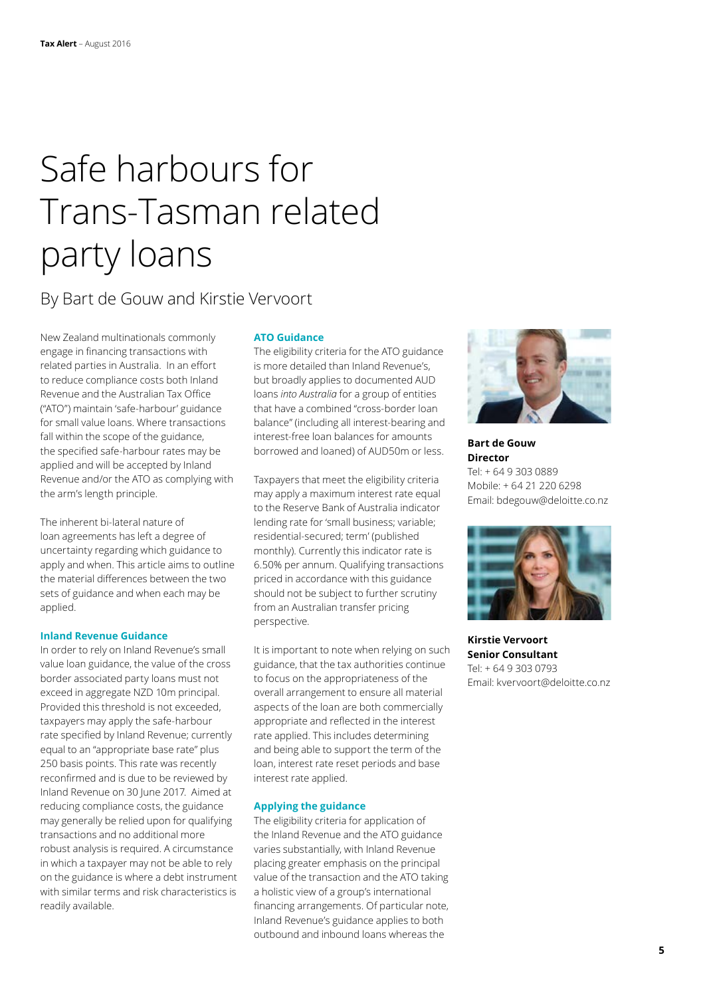## Safe harbours for Trans-Tasman related party loans

### By Bart de Gouw and Kirstie Vervoort

New Zealand multinationals commonly engage in financing transactions with related parties in Australia. In an effort to reduce compliance costs both Inland Revenue and the Australian Tax Office ("ATO") maintain 'safe-harbour' guidance for small value loans. Where transactions fall within the scope of the guidance, the specified safe-harbour rates may be applied and will be accepted by Inland Revenue and/or the ATO as complying with the arm's length principle.

The inherent bi-lateral nature of loan agreements has left a degree of uncertainty regarding which guidance to apply and when. This article aims to outline the material differences between the two sets of guidance and when each may be applied.

#### **Inland Revenue Guidance**

In order to rely on Inland Revenue's small value loan guidance, the value of the cross border associated party loans must not exceed in aggregate NZD 10m principal. Provided this threshold is not exceeded, taxpayers may apply the safe-harbour rate specified by Inland Revenue; currently equal to an "appropriate base rate" plus 250 basis points. This rate was recently reconfirmed and is due to be reviewed by Inland Revenue on 30 June 2017. Aimed at reducing compliance costs, the guidance may generally be relied upon for qualifying transactions and no additional more robust analysis is required. A circumstance in which a taxpayer may not be able to rely on the guidance is where a debt instrument with similar terms and risk characteristics is readily available.

### **ATO Guidance**

The eligibility criteria for the ATO guidance is more detailed than Inland Revenue's, but broadly applies to documented AUD loans *into Australia* for a group of entities that have a combined "cross-border loan balance" (including all interest-bearing and interest-free loan balances for amounts borrowed and loaned) of AUD50m or less.

Taxpayers that meet the eligibility criteria may apply a maximum interest rate equal to the Reserve Bank of Australia indicator lending rate for 'small business; variable; residential-secured; term' (published monthly). Currently this indicator rate is 6.50% per annum. Qualifying transactions priced in accordance with this guidance should not be subject to further scrutiny from an Australian transfer pricing perspective.

It is important to note when relying on such guidance, that the tax authorities continue to focus on the appropriateness of the overall arrangement to ensure all material aspects of the loan are both commercially appropriate and reflected in the interest rate applied. This includes determining and being able to support the term of the loan, interest rate reset periods and base interest rate applied.

### **Applying the guidance**

The eligibility criteria for application of the Inland Revenue and the ATO guidance varies substantially, with Inland Revenue placing greater emphasis on the principal value of the transaction and the ATO taking a holistic view of a group's international financing arrangements. Of particular note, Inland Revenue's guidance applies to both outbound and inbound loans whereas the



**Bart de Gouw Director** Tel: + 64 9 303 0889 Mobile: + 64 21 220 6298 Email: bdegouw@deloitte.co.nz



**Kirstie Vervoort Senior Consultant** Tel: + 64 9 303 0793 Email: kvervoort@deloitte.co.nz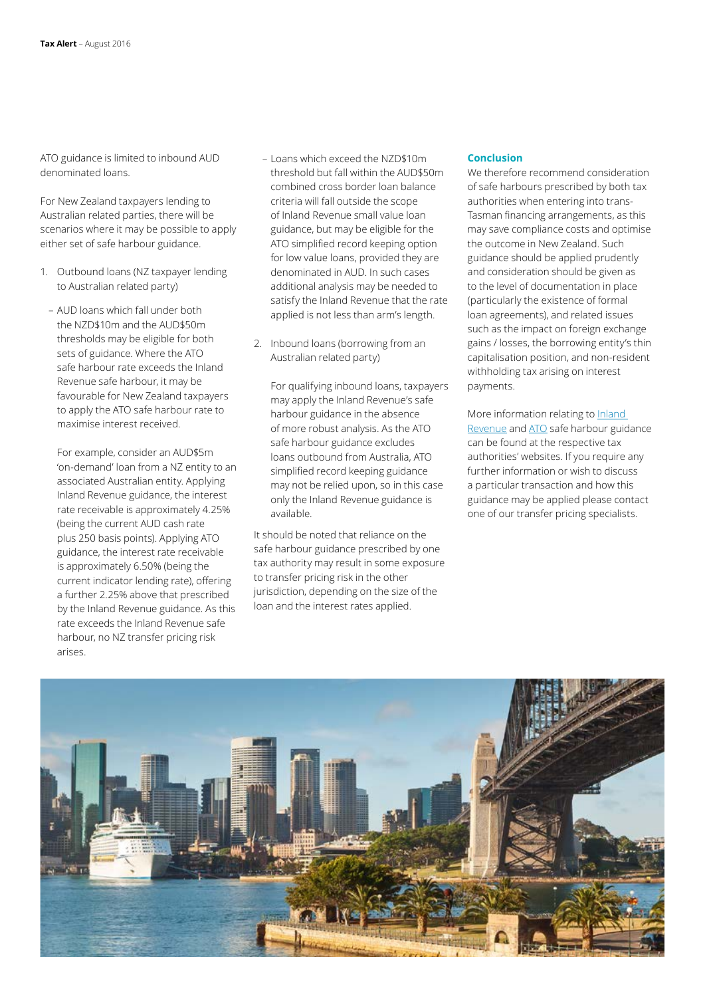ATO guidance is limited to inbound AUD denominated loans.

For New Zealand taxpayers lending to Australian related parties, there will be scenarios where it may be possible to apply either set of safe harbour guidance.

- 1. Outbound loans (NZ taxpayer lending to Australian related party)
	- AUD loans which fall under both the NZD\$10m and the AUD\$50m thresholds may be eligible for both sets of guidance. Where the ATO safe harbour rate exceeds the Inland Revenue safe harbour, it may be favourable for New Zealand taxpayers to apply the ATO safe harbour rate to maximise interest received.

For example, consider an AUD\$5m 'on-demand' loan from a NZ entity to an associated Australian entity. Applying Inland Revenue guidance, the interest rate receivable is approximately 4.25% (being the current AUD cash rate plus 250 basis points). Applying ATO guidance, the interest rate receivable is approximately 6.50% (being the current indicator lending rate), offering a further 2.25% above that prescribed by the Inland Revenue guidance. As this rate exceeds the Inland Revenue safe harbour, no NZ transfer pricing risk arises.

- Loans which exceed the NZD\$10m threshold but fall within the AUD\$50m combined cross border loan balance criteria will fall outside the scope of Inland Revenue small value loan guidance, but may be eligible for the ATO simplified record keeping option for low value loans, provided they are denominated in AUD. In such cases additional analysis may be needed to satisfy the Inland Revenue that the rate applied is not less than arm's length.
- 2. Inbound loans (borrowing from an Australian related party)

For qualifying inbound loans, taxpayers may apply the Inland Revenue's safe harbour guidance in the absence of more robust analysis. As the ATO safe harbour guidance excludes loans outbound from Australia, ATO simplified record keeping guidance may not be relied upon, so in this case only the Inland Revenue guidance is available.

It should be noted that reliance on the safe harbour guidance prescribed by one tax authority may result in some exposure to transfer pricing risk in the other jurisdiction, depending on the size of the loan and the interest rates applied.

#### **Conclusion**

We therefore recommend consideration of safe harbours prescribed by both tax authorities when entering into trans-Tasman financing arrangements, as this may save compliance costs and optimise the outcome in New Zealand. Such guidance should be applied prudently and consideration should be given as to the level of documentation in place (particularly the existence of formal loan agreements), and related issues such as the impact on foreign exchange gains / losses, the borrowing entity's thin capitalisation position, and non-resident withholding tax arising on interest payments.

More information relating to Inland [Revenue](http://www.ird.govt.nz/transfer-pricing/practice/transfer-pricing-practice-financing-costs.html) and [ATO](https://www.ato.gov.au/Business/International-tax-for-business/In-detail/Transfer-pricing/Simplifying-transfer-pricing-record-keeping/?page=9) safe harbour guidance can be found at the respective tax authorities' websites. If you require any further information or wish to discuss a particular transaction and how this guidance may be applied please contact one of our transfer pricing specialists.

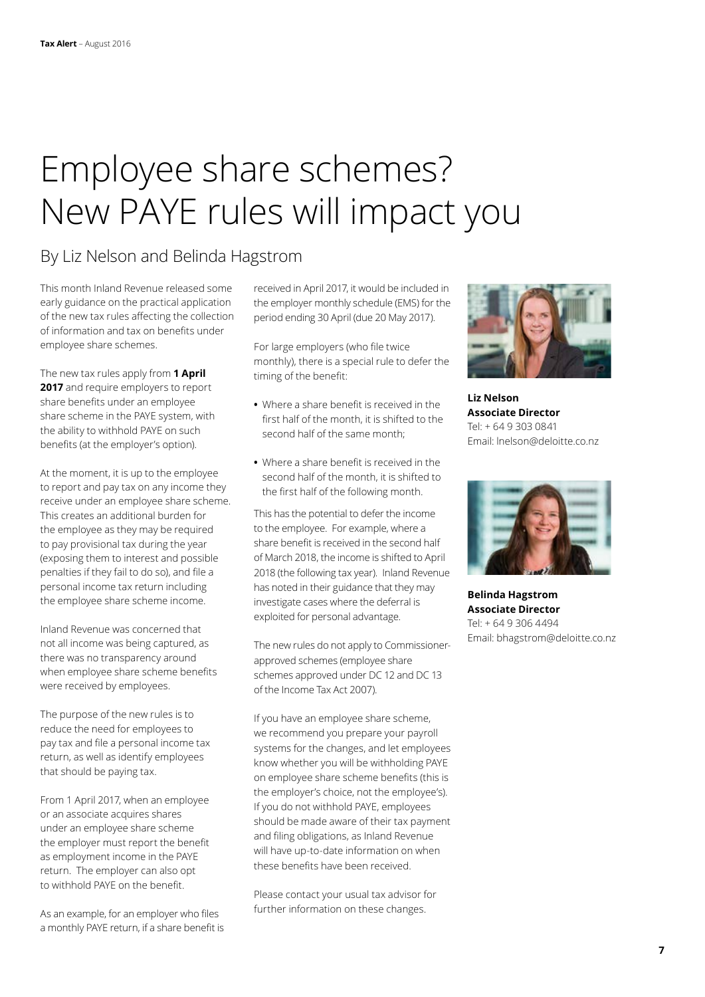## <span id="page-6-0"></span>Employee share schemes? New PAYE rules will impact you

### By Liz Nelson and Belinda Hagstrom

This month Inland Revenue released some early guidance on the practical application of the new tax rules affecting the collection of information and tax on benefits under employee share schemes.

The new tax rules apply from **1 April**  2017 and require employers to report share benefits under an employee share scheme in the PAYE system, with the ability to withhold PAYE on such benefits (at the employer's option).

At the moment, it is up to the employee to report and pay tax on any income they receive under an employee share scheme. This creates an additional burden for the employee as they may be required to pay provisional tax during the year (exposing them to interest and possible penalties if they fail to do so), and file a personal income tax return including the employee share scheme income.

Inland Revenue was concerned that not all income was being captured, as there was no transparency around when employee share scheme benefits were received by employees.

The purpose of the new rules is to reduce the need for employees to pay tax and file a personal income tax return, as well as identify employees that should be paying tax.

From 1 April 2017, when an employee or an associate acquires shares under an employee share scheme the employer must report the benefit as employment income in the PAYE return. The employer can also opt to withhold PAYE on the benefit.

As an example, for an employer who files a monthly PAYE return, if a share benefit is received in April 2017, it would be included in the employer monthly schedule (EMS) for the period ending 30 April (due 20 May 2017).

For large employers (who file twice monthly), there is a special rule to defer the timing of the benefit:

- **•** Where a share benefit is received in the first half of the month, it is shifted to the second half of the same month;
- **•** Where a share benefit is received in the second half of the month, it is shifted to the first half of the following month.

This has the potential to defer the income to the employee. For example, where a share benefit is received in the second half of March 2018, the income is shifted to April 2018 (the following tax year). Inland Revenue has noted in their guidance that they may investigate cases where the deferral is exploited for personal advantage.

The new rules do not apply to Commissionerapproved schemes (employee share schemes approved under DC 12 and DC 13 of the Income Tax Act 2007).

If you have an employee share scheme, we recommend you prepare your payroll systems for the changes, and let employees know whether you will be withholding PAYE on employee share scheme benefits (this is the employer's choice, not the employee's). If you do not withhold PAYE, employees should be made aware of their tax payment and filing obligations, as Inland Revenue will have up-to-date information on when these benefits have been received.

Please contact your usual tax advisor for further information on these changes.



**Liz Nelson Associate Director** Tel: + 64 9 303 0841 Email: lnelson@deloitte.co.nz



**Belinda Hagstrom Associate Director** Tel: + 64 9 306 4494 Email: bhagstrom@deloitte.co.nz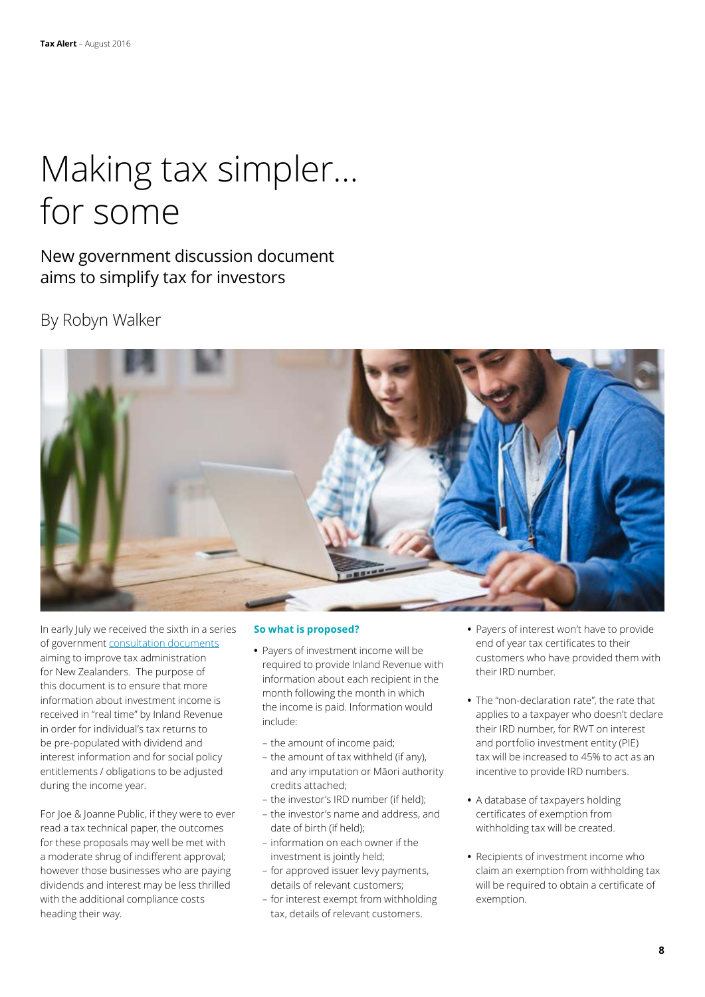## Making tax simpler… for some

New government discussion document aims to simplify tax for investors

### By Robyn Walker



In early July we received the sixth in a series of government [consultation documents](http://taxpolicy.ird.govt.nz/sites/default/files/2016-dd-mts-6-investment-income.pdf) aiming to improve tax administration for New Zealanders. The purpose of this document is to ensure that more information about investment income is received in "real time" by Inland Revenue in order for individual's tax returns to be pre-populated with dividend and interest information and for social policy entitlements / obligations to be adjusted during the income year.

For Joe & Joanne Public, if they were to ever read a tax technical paper, the outcomes for these proposals may well be met with a moderate shrug of indifferent approval; however those businesses who are paying dividends and interest may be less thrilled with the additional compliance costs heading their way.

### **So what is proposed?**

- **•** Payers of investment income will be required to provide Inland Revenue with information about each recipient in the month following the month in which the income is paid. Information would include:
	- the amount of income paid;
	- the amount of tax withheld (if any), and any imputation or Māori authority credits attached;
	- the investor's IRD number (if held);
	- the investor's name and address, and date of birth (if held);
	- information on each owner if the investment is jointly held;
	- for approved issuer levy payments, details of relevant customers;
	- for interest exempt from withholding tax, details of relevant customers.
- **•** Payers of interest won't have to provide end of year tax certificates to their customers who have provided them with their IRD number.
- **•** The "non-declaration rate", the rate that applies to a taxpayer who doesn't declare their IRD number, for RWT on interest and portfolio investment entity (PIE) tax will be increased to 45% to act as an incentive to provide IRD numbers.
- **•** A database of taxpayers holding certificates of exemption from withholding tax will be created.
- **•** Recipients of investment income who claim an exemption from withholding tax will be required to obtain a certificate of exemption.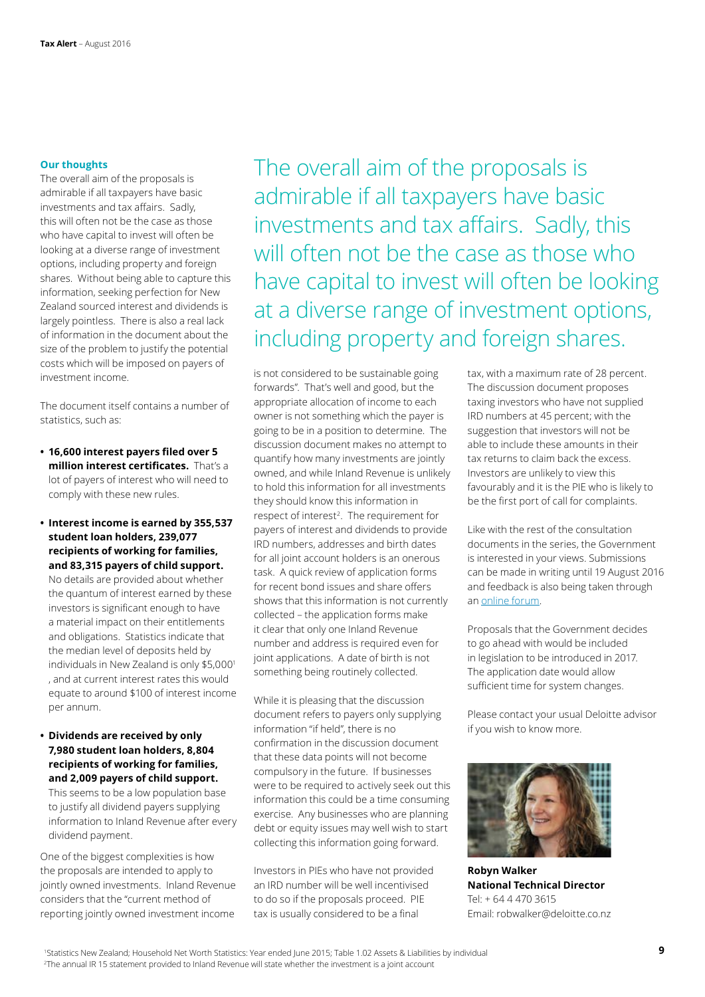### **Our thoughts**

The overall aim of the proposals is admirable if all taxpayers have basic investments and tax affairs. Sadly, this will often not be the case as those who have capital to invest will often be looking at a diverse range of investment options, including property and foreign shares. Without being able to capture this information, seeking perfection for New Zealand sourced interest and dividends is largely pointless. There is also a real lack of information in the document about the size of the problem to justify the potential costs which will be imposed on payers of investment income.

The document itself contains a number of statistics, such as:

- **• 16,600 interest payers filed over 5 million interest certificates.** That's a lot of payers of interest who will need to comply with these new rules.
- **• Interest income is earned by 355,537 student loan holders, 239,077 recipients of working for families, and 83,315 payers of child support.**

No details are provided about whether the quantum of interest earned by these investors is significant enough to have a material impact on their entitlements and obligations. Statistics indicate that the median level of deposits held by individuals in New Zealand is only \$5,000<sup>1</sup> , and at current interest rates this would equate to around \$100 of interest income per annum.

**• Dividends are received by only 7,980 student loan holders, 8,804 recipients of working for families, and 2,009 payers of child support.** 

This seems to be a low population base to justify all dividend payers supplying information to Inland Revenue after every dividend payment.

One of the biggest complexities is how the proposals are intended to apply to jointly owned investments. Inland Revenue considers that the "current method of reporting jointly owned investment income

The overall aim of the proposals is admirable if all taxpayers have basic investments and tax affairs. Sadly, this will often not be the case as those who have capital to invest will often be looking at a diverse range of investment options, including property and foreign shares.

is not considered to be sustainable going forwards". That's well and good, but the appropriate allocation of income to each owner is not something which the payer is going to be in a position to determine. The discussion document makes no attempt to quantify how many investments are jointly owned, and while Inland Revenue is unlikely to hold this information for all investments they should know this information in respect of interest<sup>2</sup>. The requirement for payers of interest and dividends to provide IRD numbers, addresses and birth dates for all joint account holders is an onerous task. A quick review of application forms for recent bond issues and share offers shows that this information is not currently collected – the application forms make it clear that only one Inland Revenue number and address is required even for joint applications. A date of birth is not something being routinely collected.

While it is pleasing that the discussion document refers to payers only supplying information "if held", there is no confirmation in the discussion document that these data points will not become compulsory in the future. If businesses were to be required to actively seek out this information this could be a time consuming exercise. Any businesses who are planning debt or equity issues may well wish to start collecting this information going forward.

Investors in PIEs who have not provided an IRD number will be well incentivised to do so if the proposals proceed. PIE tax is usually considered to be a final

tax, with a maximum rate of 28 percent. The discussion document proposes taxing investors who have not supplied IRD numbers at 45 percent; with the suggestion that investors will not be able to include these amounts in their tax returns to claim back the excess. Investors are unlikely to view this favourably and it is the PIE who is likely to be the first port of call for complaints.

Like with the rest of the consultation documents in the series, the Government is interested in your views. Submissions can be made in writing until 19 August 2016 and feedback is also being taken through an [online forum.](https://invinfo.makingtaxsimpler.ird.govt.nz/)

Proposals that the Government decides to go ahead with would be included in legislation to be introduced in 2017. The application date would allow sufficient time for system changes.

Please contact your usual Deloitte advisor if you wish to know more.



**Robyn Walker National Technical Director** Tel: + 64 4 470 3615 Email: robwalker@deloitte.co.nz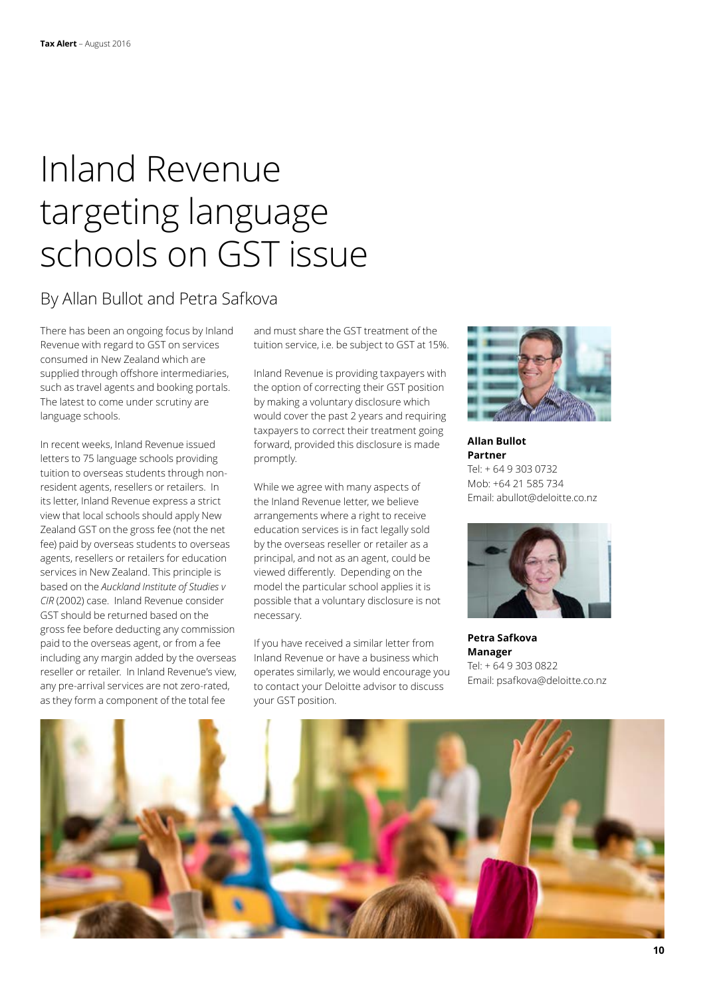### Inland Revenue targeting language schools on GST issue

### By Allan Bullot and Petra Safkova

There has been an ongoing focus by Inland Revenue with regard to GST on services consumed in New Zealand which are supplied through offshore intermediaries, such as travel agents and booking portals. The latest to come under scrutiny are language schools.

In recent weeks, Inland Revenue issued letters to 75 language schools providing tuition to overseas students through nonresident agents, resellers or retailers. In its letter, Inland Revenue express a strict view that local schools should apply New Zealand GST on the gross fee (not the net fee) paid by overseas students to overseas agents, resellers or retailers for education services in New Zealand. This principle is based on the *Auckland Institute of Studies v CIR* (2002) case. Inland Revenue consider GST should be returned based on the gross fee before deducting any commission paid to the overseas agent, or from a fee including any margin added by the overseas reseller or retailer. In Inland Revenue's view, any pre-arrival services are not zero-rated, as they form a component of the total fee

and must share the GST treatment of the tuition service, i.e. be subject to GST at 15%.

Inland Revenue is providing taxpayers with the option of correcting their GST position by making a voluntary disclosure which would cover the past 2 years and requiring taxpayers to correct their treatment going forward, provided this disclosure is made promptly.

While we agree with many aspects of the Inland Revenue letter, we believe arrangements where a right to receive education services is in fact legally sold by the overseas reseller or retailer as a principal, and not as an agent, could be viewed differently. Depending on the model the particular school applies it is possible that a voluntary disclosure is not necessary.

If you have received a similar letter from Inland Revenue or have a business which operates similarly, we would encourage you to contact your Deloitte advisor to discuss your GST position.



**Allan Bullot Partner** Tel: + 64 9 303 0732 Mob: +64 21 585 734 Email: abullot@deloitte.co.nz



**Petra Safkova Manager** Tel: + 64 9 303 0822 Email: psafkova@deloitte.co.nz

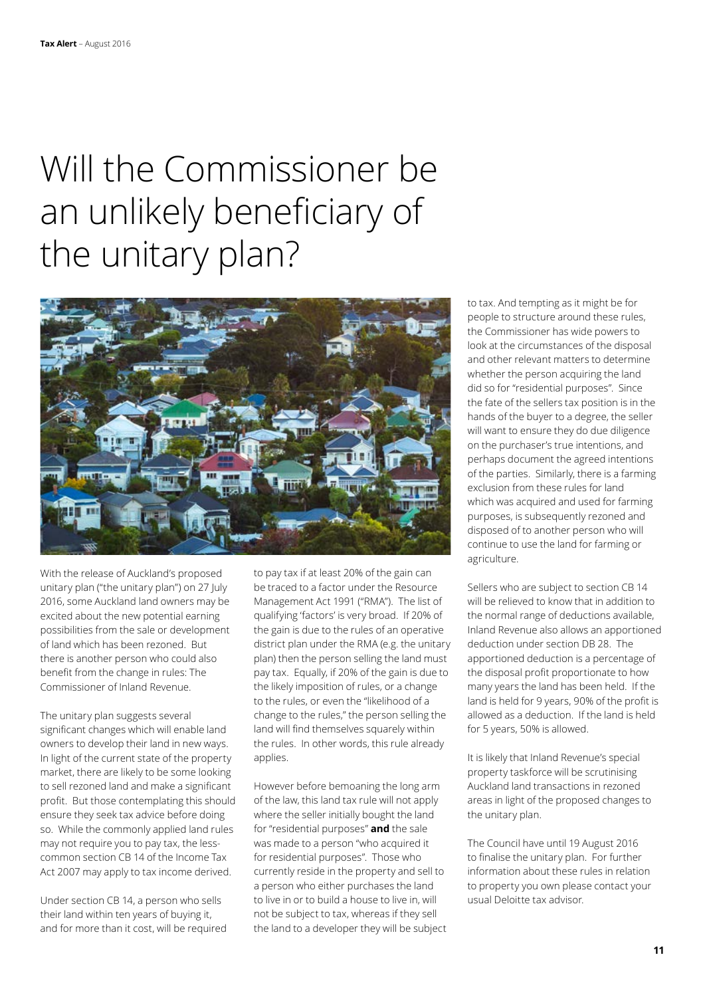## Will the Commissioner be an unlikely beneficiary of the unitary plan?



With the release of Auckland's proposed unitary plan ("the unitary plan") on 27 July 2016, some Auckland land owners may be excited about the new potential earning possibilities from the sale or development of land which has been rezoned. But there is another person who could also benefit from the change in rules: The Commissioner of Inland Revenue.

The unitary plan suggests several significant changes which will enable land owners to develop their land in new ways. In light of the current state of the property market, there are likely to be some looking to sell rezoned land and make a significant profit. But those contemplating this should ensure they seek tax advice before doing so. While the commonly applied land rules may not require you to pay tax, the lesscommon section CB 14 of the Income Tax Act 2007 may apply to tax income derived.

Under section CB 14, a person who sells their land within ten years of buying it, and for more than it cost, will be required to pay tax if at least 20% of the gain can be traced to a factor under the Resource Management Act 1991 ("RMA"). The list of qualifying 'factors' is very broad. If 20% of the gain is due to the rules of an operative district plan under the RMA (e.g. the unitary plan) then the person selling the land must pay tax. Equally, if 20% of the gain is due to the likely imposition of rules, or a change to the rules, or even the "likelihood of a change to the rules," the person selling the land will find themselves squarely within the rules. In other words, this rule already applies.

However before bemoaning the long arm of the law, this land tax rule will not apply where the seller initially bought the land for "residential purposes" **and** the sale was made to a person "who acquired it for residential purposes". Those who currently reside in the property and sell to a person who either purchases the land to live in or to build a house to live in, will not be subject to tax, whereas if they sell the land to a developer they will be subject to tax. And tempting as it might be for people to structure around these rules, the Commissioner has wide powers to look at the circumstances of the disposal and other relevant matters to determine whether the person acquiring the land did so for "residential purposes". Since the fate of the sellers tax position is in the hands of the buyer to a degree, the seller will want to ensure they do due diligence on the purchaser's true intentions, and perhaps document the agreed intentions of the parties. Similarly, there is a farming exclusion from these rules for land which was acquired and used for farming purposes, is subsequently rezoned and disposed of to another person who will continue to use the land for farming or agriculture.

Sellers who are subject to section CB 14 will be relieved to know that in addition to the normal range of deductions available, Inland Revenue also allows an apportioned deduction under section DB 28. The apportioned deduction is a percentage of the disposal profit proportionate to how many years the land has been held. If the land is held for 9 years, 90% of the profit is allowed as a deduction. If the land is held for 5 years, 50% is allowed.

It is likely that Inland Revenue's special property taskforce will be scrutinising Auckland land transactions in rezoned areas in light of the proposed changes to the unitary plan.

The Council have until 19 August 2016 to finalise the unitary plan. For further information about these rules in relation to property you own please contact your usual Deloitte tax advisor.